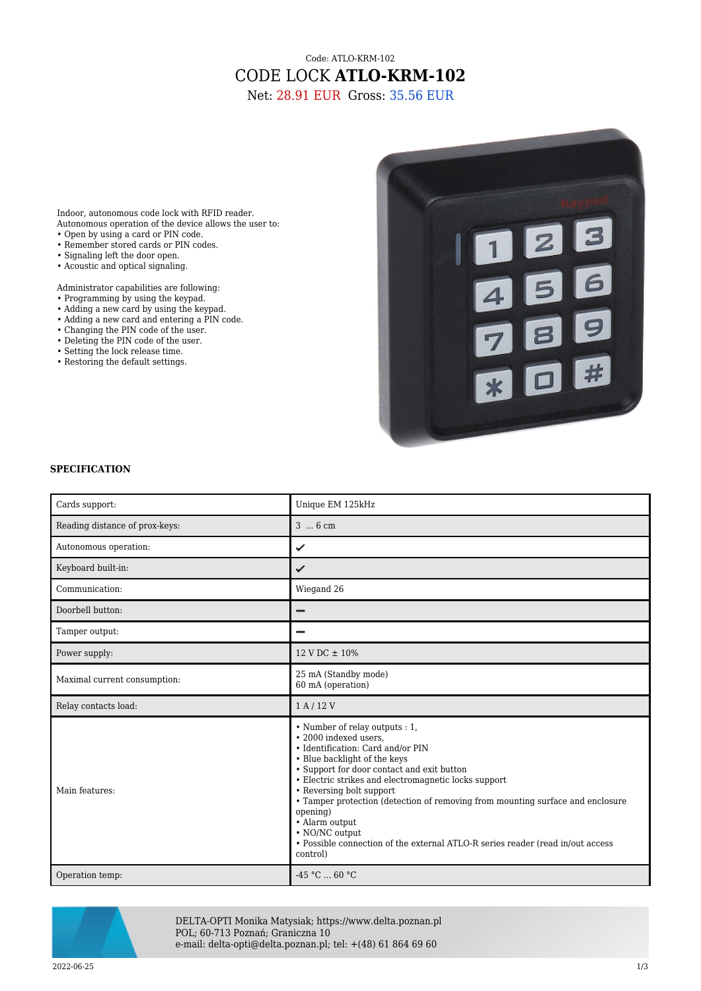## Code: ATLO-KRM-102 CODE LOCK **ATLO-KRM-102**

Net: 28.91 EUR Gross: 35.56 EUR

Indoor, autonomous code lock with RFID reader. Autonomous operation of the device allows the user to:

- Open by using a card or PIN code.
- Remember stored cards or PIN codes.
- Signaling left the door open.
- Acoustic and optical signaling.
- Administrator capabilities are following:
- Programming by using the keypad.
- Adding a new card by using the keypad.
- Adding a new card and entering a PIN code.
- Changing the PIN code of the user.
- Deleting the PIN code of the user.
- Setting the lock release time.
- Restoring the default settings.



## **SPECIFICATION**

| Cards support:                 | Unique EM 125kHz                                                                                                                                                                                                                                                                                                                                                                                                                                                                               |
|--------------------------------|------------------------------------------------------------------------------------------------------------------------------------------------------------------------------------------------------------------------------------------------------------------------------------------------------------------------------------------------------------------------------------------------------------------------------------------------------------------------------------------------|
| Reading distance of prox-keys: | 3  6 cm                                                                                                                                                                                                                                                                                                                                                                                                                                                                                        |
| Autonomous operation:          | ✓                                                                                                                                                                                                                                                                                                                                                                                                                                                                                              |
| Keyboard built-in:             | ✓                                                                                                                                                                                                                                                                                                                                                                                                                                                                                              |
| Communication:                 | Wiegand 26                                                                                                                                                                                                                                                                                                                                                                                                                                                                                     |
| Doorbell button:               | -                                                                                                                                                                                                                                                                                                                                                                                                                                                                                              |
| Tamper output:                 |                                                                                                                                                                                                                                                                                                                                                                                                                                                                                                |
| Power supply:                  | $12 \text{ V} \text{ DC} \pm 10\%$                                                                                                                                                                                                                                                                                                                                                                                                                                                             |
| Maximal current consumption:   | 25 mA (Standby mode)<br>60 mA (operation)                                                                                                                                                                                                                                                                                                                                                                                                                                                      |
| Relay contacts load:           | 1A/12V                                                                                                                                                                                                                                                                                                                                                                                                                                                                                         |
| Main features:                 | • Number of relay outputs : 1,<br>• 2000 indexed users.<br>• Identification: Card and/or PIN<br>• Blue backlight of the keys<br>• Support for door contact and exit button<br>• Electric strikes and electromagnetic locks support<br>• Reversing bolt support<br>• Tamper protection (detection of removing from mounting surface and enclosure<br>opening)<br>· Alarm output<br>• NO/NC output<br>• Possible connection of the external ATLO-R series reader (read in/out access<br>control) |
| Operation temp:                | $-45 °C$ 60 °C                                                                                                                                                                                                                                                                                                                                                                                                                                                                                 |



DELTA-OPTI Monika Matysiak; https://www.delta.poznan.pl POL; 60-713 Poznań; Graniczna 10 e-mail: delta-opti@delta.poznan.pl; tel: +(48) 61 864 69 60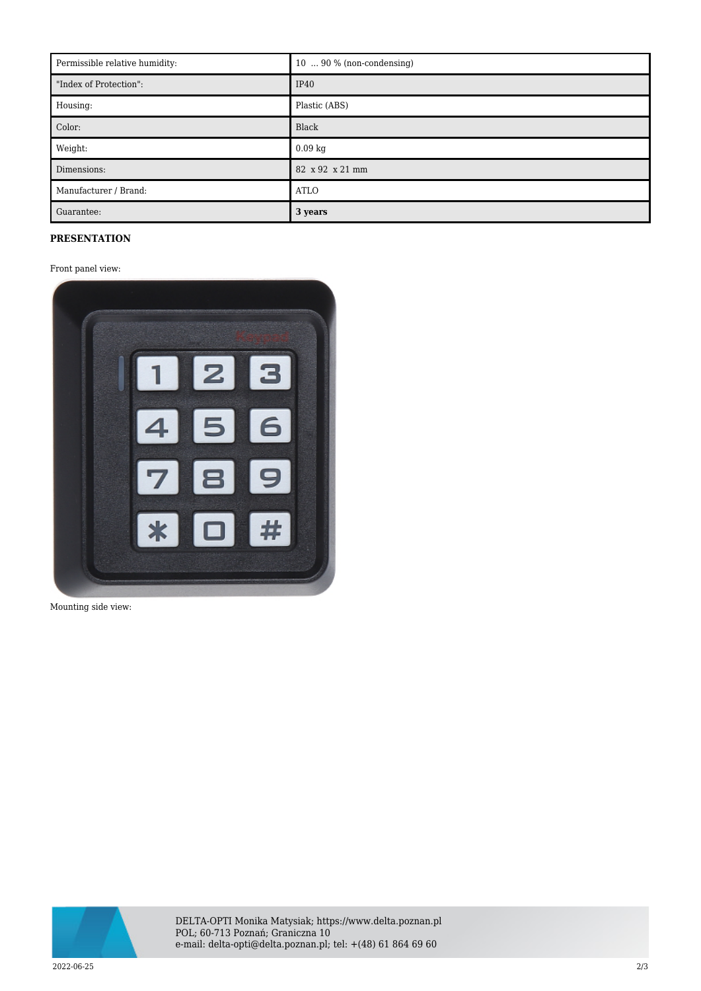| Permissible relative humidity: | $10 \ldots 90 \%$ (non-condensing) |
|--------------------------------|------------------------------------|
| "Index of Protection":         | IP40                               |
| Housing:                       | Plastic (ABS)                      |
| Color:                         | Black                              |
| Weight:                        | $0.09$ kg                          |
| Dimensions:                    | 82 x 92 x 21 mm                    |
| Manufacturer / Brand:          | <b>ATLO</b>                        |
| Guarantee:                     | 3 years                            |

## **PRESENTATION**

Front panel view:



Mounting side view:



DELTA-OPTI Monika Matysiak; https://www.delta.poznan.pl POL; 60-713 Poznań; Graniczna 10 e-mail: delta-opti@delta.poznan.pl; tel: +(48) 61 864 69 60

2022-06-25 2/3